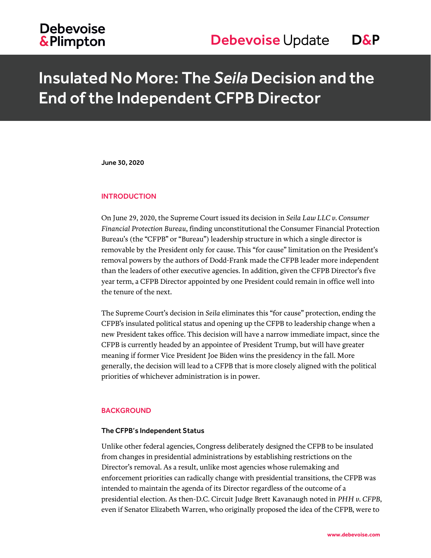## **Debevoise &Plimpton**

## Insulated No More: The *Seila* Decision and the End of the Independent CFPB Director

June 30, 2020

#### **INTRODUCTION**

On June 29, 2020, the Supreme Court issued its decision in *Seila Law LLC v. Consumer Financial Protection Bureau*, finding unconstitutional the Consumer Financial Protection Bureau's (the "CFPB" or "Bureau") leadership structure in which a single director is removable by the President only for cause. This "for cause" limitation on the President's removal powers by the authors of Dodd-Frank made the CFPB leader more independent than the leaders of other executive agencies. In addition, given the CFPB Director's five year term, a CFPB Director appointed by one President could remain in office well into the tenure of the next.

The Supreme Court's decision in *Seila* eliminates this "for cause" protection, ending the CFPB's insulated political status and opening up the CFPB to leadership change when a new President takes office. This decision will have a narrow immediate impact, since the CFPB is currently headed by an appointee of President Trump, but will have greater meaning if former Vice President Joe Biden wins the presidency in the fall. More generally, the decision will lead to a CFPB that is more closely aligned with the political priorities of whichever administration is in power.

#### BACKGROUND

#### The CFPB's Independent Status

Unlike other federal agencies, Congress deliberately designed the CFPB to be insulated from changes in presidential administrations by establishing restrictions on the Director's removal. As a result, unlike most agencies whose rulemaking and enforcement priorities can radically change with presidential transitions, the CFPB was intended to maintain the agenda of its Director regardless of the outcome of a presidential election. As then-D.C. Circuit Judge Brett Kavanaugh noted in *PHH v. CFPB*, even if Senator Elizabeth Warren, who originally proposed the idea of the CFPB, were to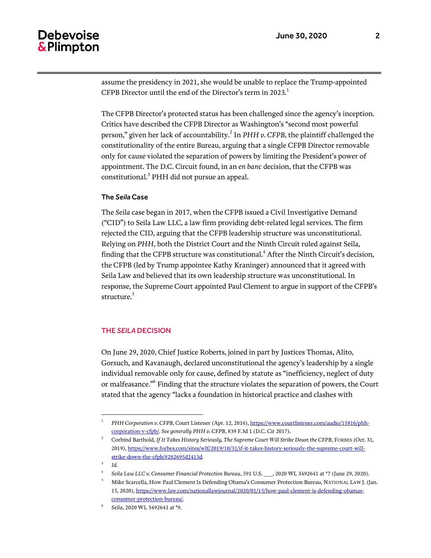## **Debevoise** & Plimpton

assume the presidency in 2021, she would be unable to replace the Trump-appointed CFPB Director until the end of the Director's term in 2023.<sup>1</sup>

The CFPB Director's protected status has been challenged since the agency's inception. Critics have described the CFPB Director as Washington's "second most powerful person," given her lack of accountability.<sup>2</sup> In PHH v. CFPB, the plaintiff challenged the constitutionality of the entire Bureau, arguing that a single CFPB Director removable only for cause violated the separation of powers by limiting the President's power of appointment. The D.C. Circuit found, in an *en banc* decision, that the CFPB was constitutional.<sup>3</sup> PHH did not pursue an appeal.

#### The *Seila* Case

The *Seila* case began in 2017, when the CFPB issued a Civil Investigative Demand ("CID") to Seila Law LLC, a law firm providing debt-related legal services. The firm rejected the CID, arguing that the CFPB leadership structure was unconstitutional. Relying on *PHH*, both the District Court and the Ninth Circuit ruled against Seila, finding that the CFPB structure was constitutional.<sup>4</sup> After the Ninth Circuit's decision, the CFPB (led by Trump appointee Kathy Kraninger) announced that it agreed with Seila Law and believed that its own leadership structure was unconstitutional. In response, the Supreme Court appointed Paul Clement to argue in support of the CFPB's structure.<sup>5</sup>

#### THE *SEILA* DECISION

On June 29, 2020, Chief Justice Roberts, joined in part by Justices Thomas, Alito, Gorsuch, and Kavanaugh, declared unconstitutional the agency's leadership by a single individual removable only for cause, defined by statute as "inefficiency, neglect of duty or malfeasance."<sup>6</sup> Finding that the structure violates the separation of powers, the Court stated that the agency "lacks a foundation in historical practice and clashes with

3 *Id.*

 $\overline{a}$ 

<sup>1</sup> *PHH Corporation v. CFPB*, Court Listener (Apr. 12, 2016)[, https://www.courtlistener.com/audio/15816/phh](https://www.courtlistener.com/audio/15816/phh-corporation-v-cfpb/)[corporation-v-cfpb/.](https://www.courtlistener.com/audio/15816/phh-corporation-v-cfpb/) *See generally PHH v. CFPB*, 839 F.3d 1 (D.C. Cir 2017).

<sup>2</sup> Corbind Barthold, *If It Takes History Seriously, The Supreme Court Will Strike Down the CFPB*, FORBES (Oct. 31, 2019)[, https://www.forbes.com/sites/wlf/2019/10/31/if-it-takes-history-seriously-the-supreme-court-will](https://www.forbes.com/sites/wlf/2019/10/31/if-it-takes-history-seriously-the-supreme-court-will-strike-down-the-cfpb/#282695d2413d)[strike-down-the-cfpb/#282695d2413d.](https://www.forbes.com/sites/wlf/2019/10/31/if-it-takes-history-seriously-the-supreme-court-will-strike-down-the-cfpb/#282695d2413d)

<sup>4</sup> *Seila Law LLC v. Consumer Financial Protection Bureau*, 591 U.S. \_\_\_, 2020 WL 3492641 at \*7 (June 29, 2020).

<sup>5</sup> Mike Scarcella, How Paul Clement Is Defending Obama's Consumer Protection Bureau, NATIONAL LAW J. (Jan. 15, 2020)[, https://www.law.com/nationallawjournal/2020/01/15/how-paul-clement-is-defending-obamas](https://www.law.com/nationallawjournal/2020/01/15/how-paul-clement-is-defending-obamas-consumer-protection-bureau/)[consumer-protection-bureau/.](https://www.law.com/nationallawjournal/2020/01/15/how-paul-clement-is-defending-obamas-consumer-protection-bureau/)

<sup>6</sup> *Seila*, 2020 WL 3492641 at \*9.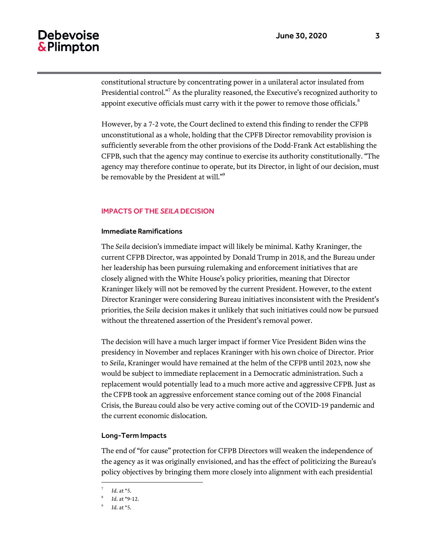## **Debevoise** & Plimpton

constitutional structure by concentrating power in a unilateral actor insulated from Presidential control."<sup>7</sup> As the plurality reasoned, the Executive's recognized authority to appoint executive officials must carry with it the power to remove those officials. $8$ 

However, by a 7-2 vote, the Court declined to extend this finding to render the CFPB unconstitutional as a whole, holding that the CPFB Director removability provision is sufficiently severable from the other provisions of the Dodd-Frank Act establishing the CFPB, such that the agency may continue to exercise its authority constitutionally. "The agency may therefore continue to operate, but its Director, in light of our decision, must be removable by the President at will."<sup>9</sup>

#### IMPACTS OF THE *SEILA* DECISION

#### Immediate Ramifications

The *Seila* decision's immediate impact will likely be minimal. Kathy Kraninger, the current CFPB Director, was appointed by Donald Trump in 2018, and the Bureau under her leadership has been pursuing rulemaking and enforcement initiatives that are closely aligned with the White House's policy priorities, meaning that Director Kraninger likely will not be removed by the current President. However, to the extent Director Kraninger were considering Bureau initiatives inconsistent with the President's priorities, the *Seila* decision makes it unlikely that such initiatives could now be pursued without the threatened assertion of the President's removal power.

The decision will have a much larger impact if former Vice President Biden wins the presidency in November and replaces Kraninger with his own choice of Director. Prior to *Seila*, Kraninger would have remained at the helm of the CFPB until 2023, now she would be subject to immediate replacement in a Democratic administration. Such a replacement would potentially lead to a much more active and aggressive CFPB. Just as the CFPB took an aggressive enforcement stance coming out of the 2008 Financial Crisis, the Bureau could also be very active coming out of the COVID-19 pandemic and the current economic dislocation.

#### Long-Term Impacts

The end of "for cause" protection for CFPB Directors will weaken the independence of the agency as it was originally envisioned, and has the effect of politicizing the Bureau's policy objectives by bringing them more closely into alignment with each presidential

 $\overline{a}$ 

<sup>7</sup> *Id*. at \*5.

<sup>8</sup> *Id*. at \*9-12.

<sup>9</sup> *Id*. at \*5.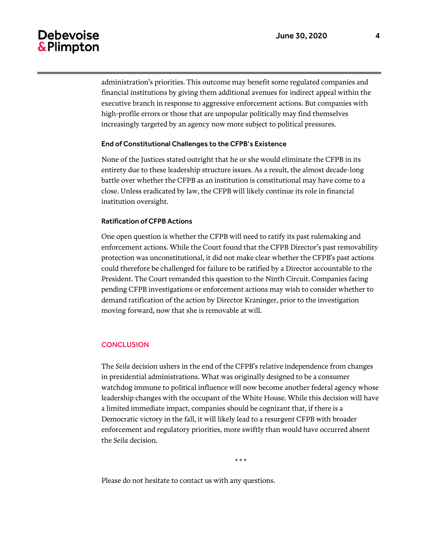## Debevoise & Plimpton

administration's priorities. This outcome may benefit some regulated companies and financial institutions by giving them additional avenues for indirect appeal within the executive branch in response to aggressive enforcement actions. But companies with high-profile errors or those that are unpopular politically may find themselves increasingly targeted by an agency now more subject to political pressures.

#### End of Constitutional Challenges to the CFPB's Existence

None of the Justices stated outright that he or she would eliminate the CFPB in its entirety due to these leadership structure issues. As a result, the almost decade-long battle over whether the CFPB as an institution is constitutional may have come to a close. Unless eradicated by law, the CFPB will likely continue its role in financial institution oversight.

#### Ratification of CFPB Actions

One open question is whether the CFPB will need to ratify its past rulemaking and enforcement actions. While the Court found that the CFPB Director's past removability protection was unconstitutional, it did not make clear whether the CFPB's past actions could therefore be challenged for failure to be ratified by a Director accountable to the President. The Court remanded this question to the Ninth Circuit. Companies facing pending CFPB investigations or enforcement actions may wish to consider whether to demand ratification of the action by Director Kraninger, prior to the investigation moving forward, now that she is removable at will.

#### **CONCLUSION**

The *Seila* decision ushers in the end of the CFPB's relative independence from changes in presidential administrations. What was originally designed to be a consumer watchdog immune to political influence will now become another federal agency whose leadership changes with the occupant of the White House. While this decision will have a limited immediate impact, companies should be cognizant that, if there is a Democratic victory in the fall, it will likely lead to a resurgent CFPB with broader enforcement and regulatory priorities, more swiftly than would have occurred absent the *Seila* decision.

\* \* \*

Please do not hesitate to contact us with any questions.